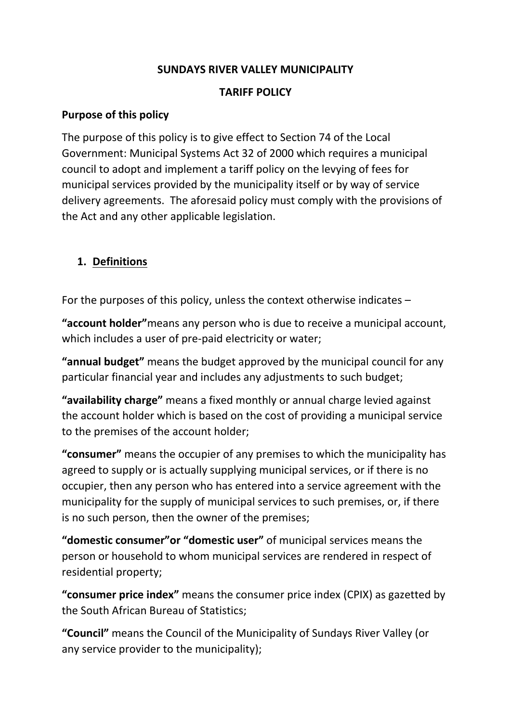#### **SUNDAYS RIVER VALLEY MUNICIPALITY**

#### **TARIFF POLICY**

#### **Purpose of this policy**

The purpose of this policy is to give effect to Section 74 of the Local Government: Municipal Systems Act 32 of 2000 which requires a municipal council to adopt and implement a tariff policy on the levying of fees for municipal services provided by the municipality itself or by way of service delivery agreements. The aforesaid policy must comply with the provisions of the Act and any other applicable legislation.

## **1. Definitions**

For the purposes of this policy, unless the context otherwise indicates –

**"account holder"**means any person who is due to receive a municipal account, which includes a user of pre-paid electricity or water;

**"annual budget"** means the budget approved by the municipal council for any particular financial year and includes any adjustments to such budget;

**"availability charge"** means a fixed monthly or annual charge levied against the account holder which is based on the cost of providing a municipal service to the premises of the account holder;

**"consumer"** means the occupier of any premises to which the municipality has agreed to supply or is actually supplying municipal services, or if there is no occupier, then any person who has entered into a service agreement with the municipality for the supply of municipal services to such premises, or, if there is no such person, then the owner of the premises;

**"domestic consumer"or "domestic user"** of municipal services means the person or household to whom municipal services are rendered in respect of residential property;

**"consumer price index"** means the consumer price index (CPIX) as gazetted by the South African Bureau of Statistics;

**"Council"** means the Council of the Municipality of Sundays River Valley (or any service provider to the municipality);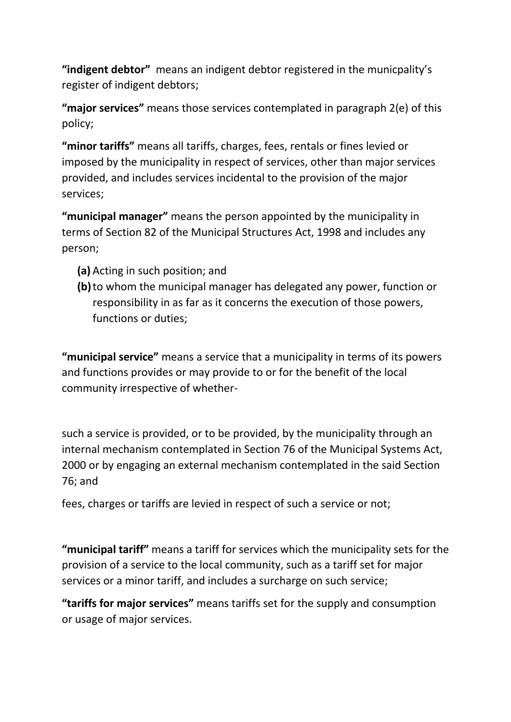**"indigent debtor"** means an indigent debtor registered in the municpality's register of indigent debtors;

**"major services"** means those services contemplated in paragraph 2(e) of this policy;

**"minor tariffs"** means all tariffs, charges, fees, rentals or fines levied or imposed by the municipality in respect of services, other than major services provided, and includes services incidental to the provision of the major services;

**"municipal manager"** means the person appointed by the municipality in terms of Section 82 of the Municipal Structures Act, 1998 and includes any person;

- **(a)** Acting in such position; and
- **(b)**to whom the municipal manager has delegated any power, function or responsibility in as far as it concerns the execution of those powers, functions or duties;

**"municipal service"** means a service that a municipality in terms of its powers and functions provides or may provide to or for the benefit of the local community irrespective of whether-

such a service is provided, or to be provided, by the municipality through an internal mechanism contemplated in Section 76 of the Municipal Systems Act, 2000 or by engaging an external mechanism contemplated in the said Section 76; and

fees, charges or tariffs are levied in respect of such a service or not;

**"municipal tariff"** means a tariff for services which the municipality sets for the provision of a service to the local community, such as a tariff set for major services or a minor tariff, and includes a surcharge on such service;

**"tariffs for major services"** means tariffs set for the supply and consumption or usage of major services.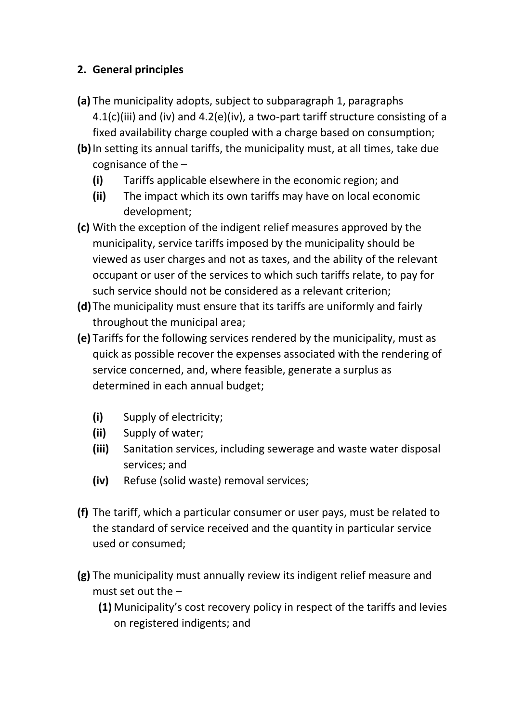# **2. General principles**

- **(a)** The municipality adopts, subject to subparagraph 1, paragraphs 4.1(c)(iii) and (iv) and 4.2(e)(iv), a two-part tariff structure consisting of a fixed availability charge coupled with a charge based on consumption;
- **(b)**In setting its annual tariffs, the municipality must, at all times, take due cognisance of the –
	- **(i)** Tariffs applicable elsewhere in the economic region; and
	- **(ii)** The impact which its own tariffs may have on local economic development;
- **(c)** With the exception of the indigent relief measures approved by the municipality, service tariffs imposed by the municipality should be viewed as user charges and not as taxes, and the ability of the relevant occupant or user of the services to which such tariffs relate, to pay for such service should not be considered as a relevant criterion;
- **(d)** The municipality must ensure that its tariffs are uniformly and fairly throughout the municipal area;
- **(e)** Tariffs for the following services rendered by the municipality, must as quick as possible recover the expenses associated with the rendering of service concerned, and, where feasible, generate a surplus as determined in each annual budget;
	- **(i)** Supply of electricity;
	- **(ii)** Supply of water;
	- **(iii)** Sanitation services, including sewerage and waste water disposal services; and
	- **(iv)** Refuse (solid waste) removal services;
- **(f)** The tariff, which a particular consumer or user pays, must be related to the standard of service received and the quantity in particular service used or consumed;
- **(g)** The municipality must annually review its indigent relief measure and must set out the –
	- **(1)** Municipality's cost recovery policy in respect of the tariffs and levies on registered indigents; and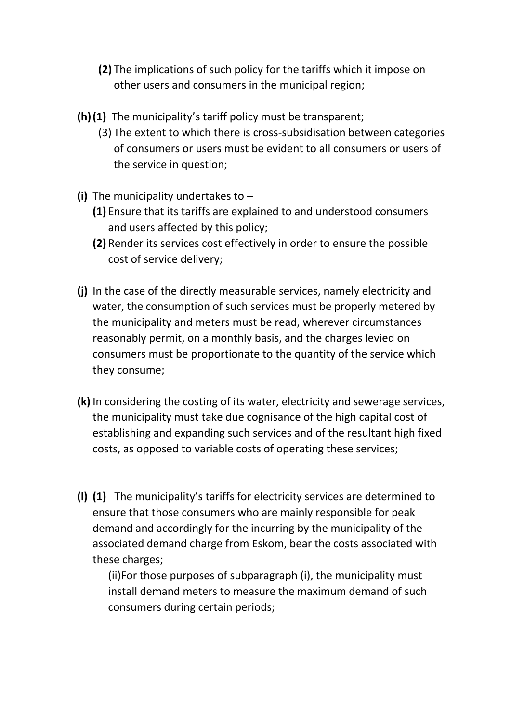- **(2)** The implications of such policy for the tariffs which it impose on other users and consumers in the municipal region;
- **(h)(1)** The municipality's tariff policy must be transparent;
	- (3) The extent to which there is cross-subsidisation between categories of consumers or users must be evident to all consumers or users of the service in question;
- **(i)** The municipality undertakes to
	- **(1)** Ensure that its tariffs are explained to and understood consumers and users affected by this policy;
	- **(2)** Render its services cost effectively in order to ensure the possible cost of service delivery;
- **(j)** In the case of the directly measurable services, namely electricity and water, the consumption of such services must be properly metered by the municipality and meters must be read, wherever circumstances reasonably permit, on a monthly basis, and the charges levied on consumers must be proportionate to the quantity of the service which they consume;
- **(k)** In considering the costing of its water, electricity and sewerage services, the municipality must take due cognisance of the high capital cost of establishing and expanding such services and of the resultant high fixed costs, as opposed to variable costs of operating these services;
- **(l) (1)** The municipality's tariffs for electricity services are determined to ensure that those consumers who are mainly responsible for peak demand and accordingly for the incurring by the municipality of the associated demand charge from Eskom, bear the costs associated with these charges;

(ii)For those purposes of subparagraph (i), the municipality must install demand meters to measure the maximum demand of such consumers during certain periods;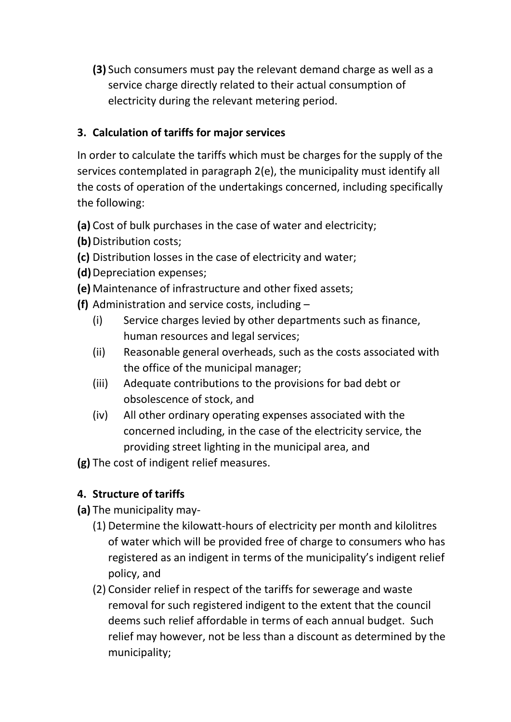**(3)** Such consumers must pay the relevant demand charge as well as a service charge directly related to their actual consumption of electricity during the relevant metering period.

# **3. Calculation of tariffs for major services**

In order to calculate the tariffs which must be charges for the supply of the services contemplated in paragraph 2(e), the municipality must identify all the costs of operation of the undertakings concerned, including specifically the following:

- **(a)** Cost of bulk purchases in the case of water and electricity;
- **(b)**Distribution costs;
- **(c)** Distribution losses in the case of electricity and water;
- **(d)**Depreciation expenses;
- **(e)** Maintenance of infrastructure and other fixed assets;
- **(f)** Administration and service costs, including
	- (i) Service charges levied by other departments such as finance, human resources and legal services;
	- (ii) Reasonable general overheads, such as the costs associated with the office of the municipal manager;
	- (iii) Adequate contributions to the provisions for bad debt or obsolescence of stock, and
	- (iv) All other ordinary operating expenses associated with the concerned including, in the case of the electricity service, the providing street lighting in the municipal area, and

**(g)** The cost of indigent relief measures.

# **4. Structure of tariffs**

- **(a)** The municipality may-
	- (1) Determine the kilowatt-hours of electricity per month and kilolitres of water which will be provided free of charge to consumers who has registered as an indigent in terms of the municipality's indigent relief policy, and
	- (2) Consider relief in respect of the tariffs for sewerage and waste removal for such registered indigent to the extent that the council deems such relief affordable in terms of each annual budget. Such relief may however, not be less than a discount as determined by the municipality;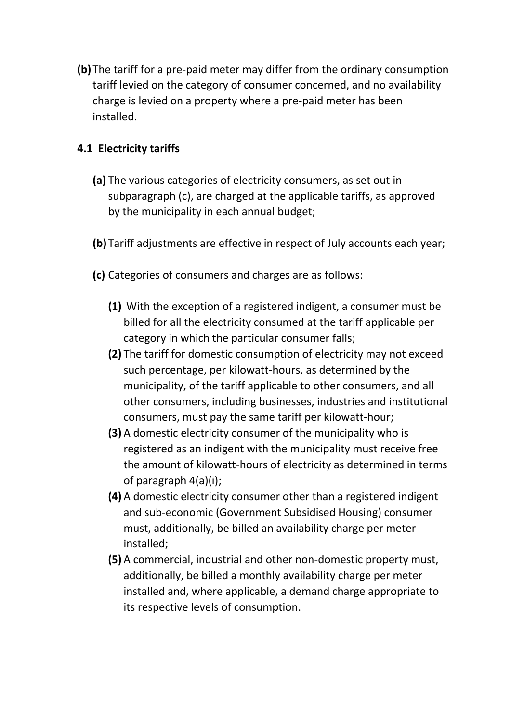**(b)** The tariff for a pre-paid meter may differ from the ordinary consumption tariff levied on the category of consumer concerned, and no availability charge is levied on a property where a pre-paid meter has been installed.

# **4.1 Electricity tariffs**

- **(a)** The various categories of electricity consumers, as set out in subparagraph (c), are charged at the applicable tariffs, as approved by the municipality in each annual budget;
- **(b)** Tariff adjustments are effective in respect of July accounts each year;
- **(c)** Categories of consumers and charges are as follows:
	- **(1)** With the exception of a registered indigent, a consumer must be billed for all the electricity consumed at the tariff applicable per category in which the particular consumer falls;
	- **(2)** The tariff for domestic consumption of electricity may not exceed such percentage, per kilowatt-hours, as determined by the municipality, of the tariff applicable to other consumers, and all other consumers, including businesses, industries and institutional consumers, must pay the same tariff per kilowatt-hour;
	- **(3)** A domestic electricity consumer of the municipality who is registered as an indigent with the municipality must receive free the amount of kilowatt-hours of electricity as determined in terms of paragraph 4(a)(i);
	- **(4)** A domestic electricity consumer other than a registered indigent and sub-economic (Government Subsidised Housing) consumer must, additionally, be billed an availability charge per meter installed;
	- **(5)** A commercial, industrial and other non-domestic property must, additionally, be billed a monthly availability charge per meter installed and, where applicable, a demand charge appropriate to its respective levels of consumption.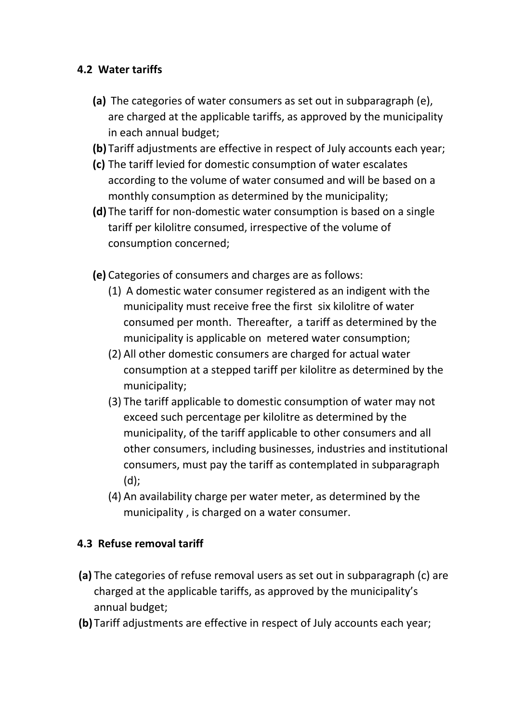## **4.2 Water tariffs**

- **(a)** The categories of water consumers as set out in subparagraph (e), are charged at the applicable tariffs, as approved by the municipality in each annual budget;
- **(b)** Tariff adjustments are effective in respect of July accounts each year;
- **(c)** The tariff levied for domestic consumption of water escalates according to the volume of water consumed and will be based on a monthly consumption as determined by the municipality;
- **(d)** The tariff for non-domestic water consumption is based on a single tariff per kilolitre consumed, irrespective of the volume of consumption concerned;
- **(e)** Categories of consumers and charges are as follows:
	- (1) A domestic water consumer registered as an indigent with the municipality must receive free the first six kilolitre of water consumed per month. Thereafter, a tariff as determined by the municipality is applicable on metered water consumption;
	- (2) All other domestic consumers are charged for actual water consumption at a stepped tariff per kilolitre as determined by the municipality;
	- (3) The tariff applicable to domestic consumption of water may not exceed such percentage per kilolitre as determined by the municipality, of the tariff applicable to other consumers and all other consumers, including businesses, industries and institutional consumers, must pay the tariff as contemplated in subparagraph (d);
	- (4) An availability charge per water meter, as determined by the municipality , is charged on a water consumer.

## **4.3 Refuse removal tariff**

- **(a)** The categories of refuse removal users as set out in subparagraph (c) are charged at the applicable tariffs, as approved by the municipality's annual budget;
- **(b)** Tariff adjustments are effective in respect of July accounts each year;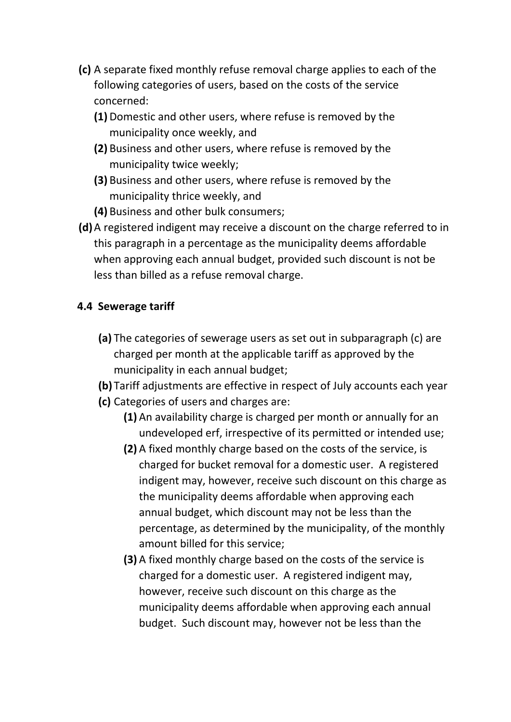- **(c)** A separate fixed monthly refuse removal charge applies to each of the following categories of users, based on the costs of the service concerned:
	- **(1)** Domestic and other users, where refuse is removed by the municipality once weekly, and
	- **(2)** Business and other users, where refuse is removed by the municipality twice weekly;
	- **(3)** Business and other users, where refuse is removed by the municipality thrice weekly, and
	- **(4)** Business and other bulk consumers;
- **(d)**A registered indigent may receive a discount on the charge referred to in this paragraph in a percentage as the municipality deems affordable when approving each annual budget, provided such discount is not be less than billed as a refuse removal charge.

## **4.4 Sewerage tariff**

- **(a)** The categories of sewerage users as set out in subparagraph (c) are charged per month at the applicable tariff as approved by the municipality in each annual budget;
- **(b)** Tariff adjustments are effective in respect of July accounts each year
- **(c)** Categories of users and charges are:
	- **(1)** An availability charge is charged per month or annually for an undeveloped erf, irrespective of its permitted or intended use;
	- **(2)** A fixed monthly charge based on the costs of the service, is charged for bucket removal for a domestic user. A registered indigent may, however, receive such discount on this charge as the municipality deems affordable when approving each annual budget, which discount may not be less than the percentage, as determined by the municipality, of the monthly amount billed for this service;
	- **(3)** A fixed monthly charge based on the costs of the service is charged for a domestic user. A registered indigent may, however, receive such discount on this charge as the municipality deems affordable when approving each annual budget. Such discount may, however not be less than the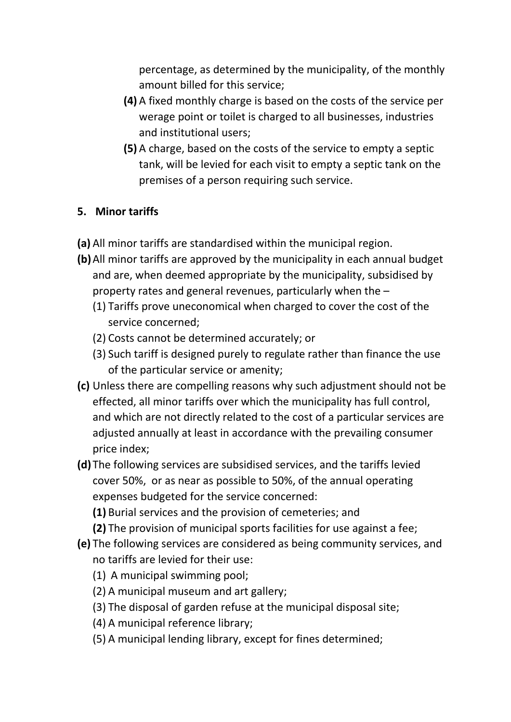percentage, as determined by the municipality, of the monthly amount billed for this service;

- **(4)** A fixed monthly charge is based on the costs of the service per werage point or toilet is charged to all businesses, industries and institutional users;
- **(5)** A charge, based on the costs of the service to empty a septic tank, will be levied for each visit to empty a septic tank on the premises of a person requiring such service.

## **5. Minor tariffs**

- **(a)** All minor tariffs are standardised within the municipal region.
- **(b)**All minor tariffs are approved by the municipality in each annual budget and are, when deemed appropriate by the municipality, subsidised by property rates and general revenues, particularly when the –
	- (1) Tariffs prove uneconomical when charged to cover the cost of the service concerned;
	- (2) Costs cannot be determined accurately; or
	- (3) Such tariff is designed purely to regulate rather than finance the use of the particular service or amenity;
- **(c)** Unless there are compelling reasons why such adjustment should not be effected, all minor tariffs over which the municipality has full control, and which are not directly related to the cost of a particular services are adjusted annually at least in accordance with the prevailing consumer price index;
- **(d)** The following services are subsidised services, and the tariffs levied cover 50%, or as near as possible to 50%, of the annual operating expenses budgeted for the service concerned:
	- **(1)** Burial services and the provision of cemeteries; and
	- **(2)** The provision of municipal sports facilities for use against a fee;
- **(e)** The following services are considered as being community services, and no tariffs are levied for their use:
	- (1) A municipal swimming pool;
	- (2) A municipal museum and art gallery;
	- (3) The disposal of garden refuse at the municipal disposal site;
	- (4) A municipal reference library;
	- (5) A municipal lending library, except for fines determined;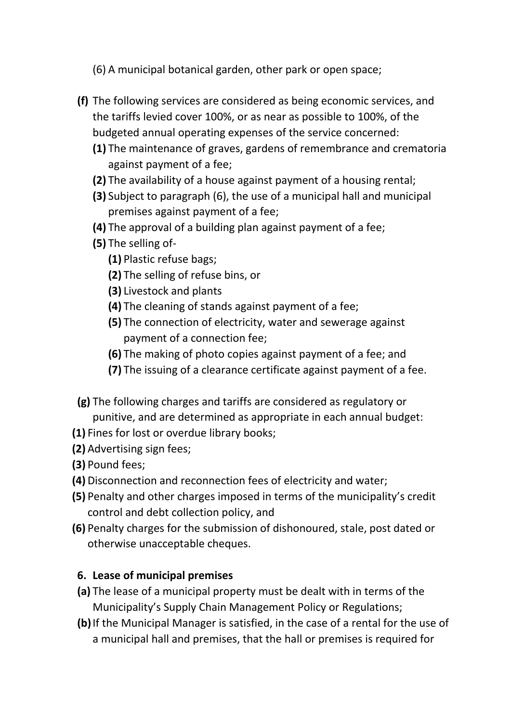- (6) A municipal botanical garden, other park or open space;
- **(f)** The following services are considered as being economic services, and the tariffs levied cover 100%, or as near as possible to 100%, of the budgeted annual operating expenses of the service concerned:
	- **(1)** The maintenance of graves, gardens of remembrance and crematoria against payment of a fee;
	- **(2)** The availability of a house against payment of a housing rental;
	- **(3)** Subject to paragraph (6), the use of a municipal hall and municipal premises against payment of a fee;
	- **(4)** The approval of a building plan against payment of a fee;
	- **(5)** The selling of-
		- **(1)** Plastic refuse bags;
		- **(2)** The selling of refuse bins, or
		- **(3)** Livestock and plants
		- **(4)** The cleaning of stands against payment of a fee;
		- **(5)** The connection of electricity, water and sewerage against payment of a connection fee;
		- **(6)** The making of photo copies against payment of a fee; and
		- **(7)** The issuing of a clearance certificate against payment of a fee.
- **(g)** The following charges and tariffs are considered as regulatory or punitive, and are determined as appropriate in each annual budget:
- **(1)** Fines for lost or overdue library books;
- **(2)** Advertising sign fees;
- **(3)** Pound fees;
- **(4)** Disconnection and reconnection fees of electricity and water;
- **(5)** Penalty and other charges imposed in terms of the municipality's credit control and debt collection policy, and
- **(6)** Penalty charges for the submission of dishonoured, stale, post dated or otherwise unacceptable cheques.

## **6. Lease of municipal premises**

- **(a)** The lease of a municipal property must be dealt with in terms of the Municipality's Supply Chain Management Policy or Regulations;
- **(b)**If the Municipal Manager is satisfied, in the case of a rental for the use of a municipal hall and premises, that the hall or premises is required for